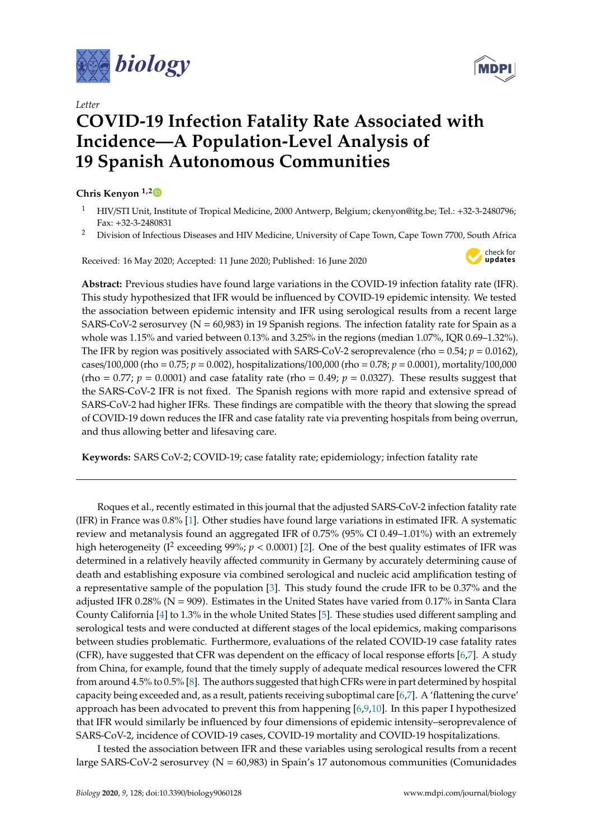

*Letter*

## **COVID-19 Infection Fatality Rate Associated with Incidence—A Population-Level Analysis of 19 Spanish Autonomous Communities**

## **Chris Kenyon 1,[2](https://orcid.org/0000-0002-2557-8998)**

- <sup>1</sup> HIV/STI Unit, Institute of Tropical Medicine, 2000 Antwerp, Belgium; ckenyon@itg.be; Tel.: +32-3-2480796; Fax: +32-3-2480831
- <sup>2</sup> Division of Infectious Diseases and HIV Medicine, University of Cape Town, Cape Town 7700, South Africa

Received: 16 May 2020; Accepted: 11 June 2020; Published: 16 June 2020



**Abstract:** Previous studies have found large variations in the COVID-19 infection fatality rate (IFR). This study hypothesized that IFR would be influenced by COVID-19 epidemic intensity. We tested the association between epidemic intensity and IFR using serological results from a recent large SARS-CoV-2 serosurvey ( $N = 60,983$ ) in 19 Spanish regions. The infection fatality rate for Spain as a whole was 1.15% and varied between 0.13% and 3.25% in the regions (median 1.07%, IQR 0.69–1.32%). The IFR by region was positively associated with SARS-CoV-2 seroprevalence (rho =  $0.54$ ;  $p = 0.0162$ ), cases/100,000 (rho = 0.75; *p* = 0.002), hospitalizations/100,000 (rho = 0.78; *p* = 0.0001), mortality/100,000 (rho =  $0.77$ ;  $p = 0.0001$ ) and case fatality rate (rho =  $0.49$ ;  $p = 0.0327$ ). These results suggest that the SARS-CoV-2 IFR is not fixed. The Spanish regions with more rapid and extensive spread of SARS-CoV-2 had higher IFRs. These findings are compatible with the theory that slowing the spread of COVID-19 down reduces the IFR and case fatality rate via preventing hospitals from being overrun, and thus allowing better and lifesaving care.

**Keywords:** SARS CoV-2; COVID-19; case fatality rate; epidemiology; infection fatality rate

Roques et al., recently estimated in this journal that the adjusted SARS-CoV-2 infection fatality rate (IFR) in France was 0.8% [\[1\]](#page-3-0). Other studies have found large variations in estimated IFR. A systematic review and metanalysis found an aggregated IFR of 0.75% (95% CI 0.49–1.01%) with an extremely high heterogeneity (I<sup>2</sup> exceeding 99%;  $p < 0.0001$ ) [\[2\]](#page-3-1). One of the best quality estimates of IFR was determined in a relatively heavily affected community in Germany by accurately determining cause of death and establishing exposure via combined serological and nucleic acid amplification testing of a representative sample of the population [\[3\]](#page-3-2). This study found the crude IFR to be 0.37% and the adjusted IFR 0.28% ( $N = 909$ ). Estimates in the United States have varied from 0.17% in Santa Clara County California [\[4\]](#page-3-3) to 1.3% in the whole United States [\[5\]](#page-3-4). These studies used different sampling and serological tests and were conducted at different stages of the local epidemics, making comparisons between studies problematic. Furthermore, evaluations of the related COVID-19 case fatality rates (CFR), have suggested that CFR was dependent on the efficacy of local response efforts [\[6,](#page-3-5)[7\]](#page-3-6). A study from China, for example, found that the timely supply of adequate medical resources lowered the CFR from around 4.5% to 0.5% [\[8\]](#page-3-7). The authors suggested that high CFRs were in part determined by hospital capacity being exceeded and, as a result, patients receiving suboptimal care [\[6,](#page-3-5)[7\]](#page-3-6). A 'flattening the curve' approach has been advocated to prevent this from happening [\[6,](#page-3-5)[9,](#page-3-8)[10\]](#page-3-9). In this paper I hypothesized that IFR would similarly be influenced by four dimensions of epidemic intensity–seroprevalence of SARS-CoV-2, incidence of COVID-19 cases, COVID-19 mortality and COVID-19 hospitalizations.

I tested the association between IFR and these variables using serological results from a recent large SARS-CoV-2 serosurvey (N = 60,983) in Spain's 17 autonomous communities (Comunidades

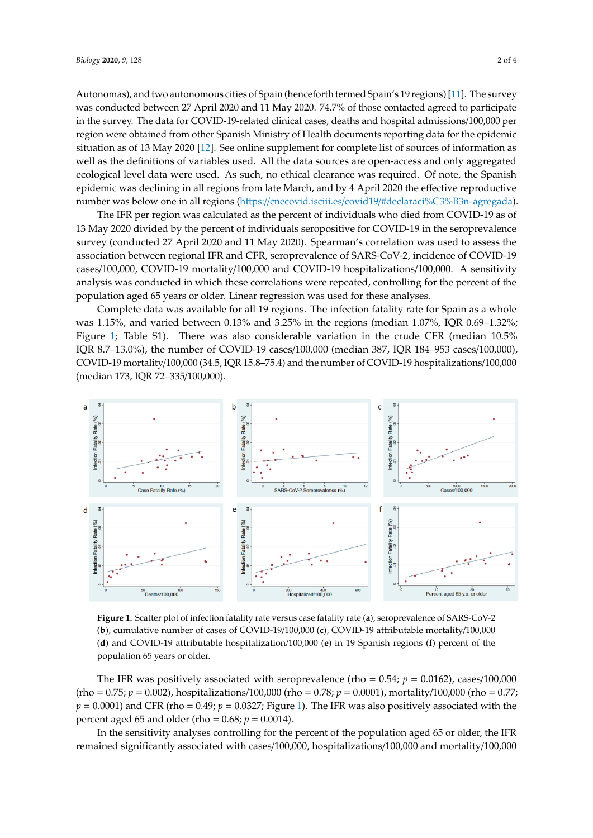Autonomas), and two autonomous cities of Spain (henceforth termed Spain's 19 regions) [\[11\]](#page-3-10). The survey was conducted between 27 April 2020 and 11 May 2020. 74.7% of those contacted agreed to participate in the survey. The data for COVID-19-related clinical cases, deaths and hospital admissions/100,000 per region were obtained from other Spanish Ministry of Health documents reporting data for the epidemic situation as of 13 May 2020 [\[12\]](#page-3-11). See online supplement for complete list of sources of information as well as the definitions of variables used. All the data sources are open-access and only aggregated ecological level data were used. As such, no ethical clearance was required. Of note, the Spanish epidemic was declining in all regions from late March, and by 4 April 2020 the effective reproductive number was below one in all regions (https://cnecovid.isciii.es/covid19/#declaraci%C3%B3n-agregada).

The IFR per region was calculated as the percent of individuals who died from COVID-19 as of 13 May 2020 divided by the percent of individuals seropositive for COVID-19 in the seroprevalence survey (conducted 27 April 2020 and 11 May 2020). Spearman's correlation was used to assess the association between regional IFR and CFR, seroprevalence of SARS-CoV-2, incidence of COVID-19 cases/100,000, COVID-19 mortality/100,000 and COVID-19 hospitalizations/100,000. A sensitivity analysis was conducted in which these correlations were repeated, controlling for the percent of the population aged 65 years or older. Linear regression was used for these analyses.

Complete data was available for all 19 regions. The infection fatality rate for Spain as a whole was  $1.15\%$ , and varied between  $0.13\%$  and  $3.25\%$  in the regions (median  $1.07\%$ , IQR  $0.69\text{--}1.32\%$ ; Figure 1; Table S1). T[he](#page-1-0)re was also considerable variation in the crude CFR (median 10.5% IQR 8.7–13.0%), the number of COVID-19 cases/100,000 (median 387, IQR 184–953 cases/100,000), COVID-19 mortality/100,000 (34.5, IQR 15.8–75.4) and the number of COVID-19 hospitalizations/100,000 (median 173*,* IQR 72–335/100*,*000).

<span id="page-1-0"></span>

**Figure 1.** Scatter plot of infection fatality rate versus case fatality rate (**a**), seroprevalence of SARS-CoV-2 CoV-2 (**b**), cumulative number of cases of COVID-19/100,000 (**c**), COVID-19 attributable (**b**), cumulative number of cases of COVID-19/100,000 (**c**), COVID-19 attributable mortality/100,000 (d) and COVID-19 attributable hospitalization/100,000 (e) in 19 Spanish regions (f) percent of the population 65 years or older.

The IFR was positively associated with seroprevalence (rho =  $0.54$ ;  $p = 0.0162$ ), cases/100,000 (rho = 0.75; *p* = 0.002), hospitalizations/100,000 (rho = 0.78; *p* = 0.0001), mortality/100,000 (rho = 0.77;  $p = 0.0001$  and CFR (rho = 0.49;  $p = 0.0327$ ; Figure [1\)](#page-1-0). The IFR was also positively associated with the percent aged 65 and older (rho =  $0.68; p = 0.0014$ ).

In the sensitivity analyses controlling for the percent of the population aged 65 or older, the IFR remained significantly associated with cases/100,000, hospitalizations/100,000 and mortality/100,000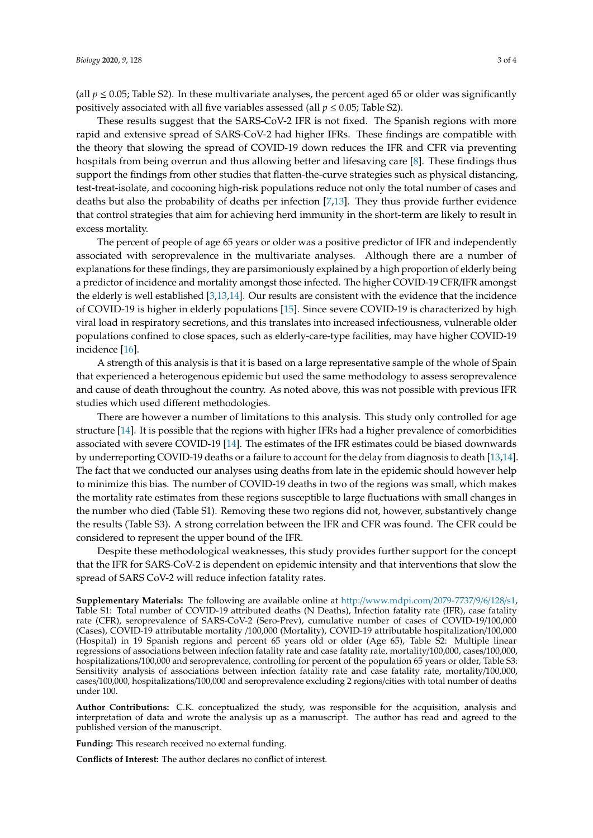(all  $p \le 0.05$ ; Table S2). In these multivariate analyses, the percent aged 65 or older was significantly positively associated with all five variables assessed (all  $p \le 0.05$ ; Table S2).

These results suggest that the SARS-CoV-2 IFR is not fixed. The Spanish regions with more rapid and extensive spread of SARS-CoV-2 had higher IFRs. These findings are compatible with the theory that slowing the spread of COVID-19 down reduces the IFR and CFR via preventing hospitals from being overrun and thus allowing better and lifesaving care [\[8\]](#page-3-7). These findings thus support the findings from other studies that flatten-the-curve strategies such as physical distancing, test-treat-isolate, and cocooning high-risk populations reduce not only the total number of cases and deaths but also the probability of deaths per infection [\[7](#page-3-6)[,13\]](#page-3-12). They thus provide further evidence that control strategies that aim for achieving herd immunity in the short-term are likely to result in excess mortality.

The percent of people of age 65 years or older was a positive predictor of IFR and independently associated with seroprevalence in the multivariate analyses. Although there are a number of explanations for these findings, they are parsimoniously explained by a high proportion of elderly being a predictor of incidence and mortality amongst those infected. The higher COVID-19 CFR/IFR amongst the elderly is well established [\[3,](#page-3-2)[13](#page-3-12)[,14\]](#page-3-13). Our results are consistent with the evidence that the incidence of COVID-19 is higher in elderly populations [\[15\]](#page-3-14). Since severe COVID-19 is characterized by high viral load in respiratory secretions, and this translates into increased infectiousness, vulnerable older populations confined to close spaces, such as elderly-care-type facilities, may have higher COVID-19 incidence [\[16\]](#page-3-15).

A strength of this analysis is that it is based on a large representative sample of the whole of Spain that experienced a heterogenous epidemic but used the same methodology to assess seroprevalence and cause of death throughout the country. As noted above, this was not possible with previous IFR studies which used different methodologies.

There are however a number of limitations to this analysis. This study only controlled for age structure [\[14\]](#page-3-13). It is possible that the regions with higher IFRs had a higher prevalence of comorbidities associated with severe COVID-19 [\[14\]](#page-3-13). The estimates of the IFR estimates could be biased downwards by underreporting COVID-19 deaths or a failure to account for the delay from diagnosis to death [\[13](#page-3-12)[,14\]](#page-3-13). The fact that we conducted our analyses using deaths from late in the epidemic should however help to minimize this bias. The number of COVID-19 deaths in two of the regions was small, which makes the mortality rate estimates from these regions susceptible to large fluctuations with small changes in the number who died (Table S1). Removing these two regions did not, however, substantively change the results (Table S3). A strong correlation between the IFR and CFR was found. The CFR could be considered to represent the upper bound of the IFR.

Despite these methodological weaknesses, this study provides further support for the concept that the IFR for SARS-CoV-2 is dependent on epidemic intensity and that interventions that slow the spread of SARS CoV-2 will reduce infection fatality rates.

**Supplementary Materials:** The following are available online at http://[www.mdpi.com](http://www.mdpi.com/2079-7737/9/6/128/s1)/2079-7737/9/6/128/s1, Table S1: Total number of COVID-19 attributed deaths (N Deaths), Infection fatality rate (IFR), case fatality rate (CFR), seroprevalence of SARS-CoV-2 (Sero-Prev), cumulative number of cases of COVID-19/100,000 (Cases), COVID-19 attributable mortality /100,000 (Mortality), COVID-19 attributable hospitalization/100,000 (Hospital) in 19 Spanish regions and percent 65 years old or older (Age 65), Table S2: Multiple linear regressions of associations between infection fatality rate and case fatality rate, mortality/100,000, cases/100,000, hospitalizations/100,000 and seroprevalence, controlling for percent of the population 65 years or older, Table S3: Sensitivity analysis of associations between infection fatality rate and case fatality rate, mortality/100,000, cases/100,000, hospitalizations/100,000 and seroprevalence excluding 2 regions/cities with total number of deaths under 100.

**Author Contributions:** C.K. conceptualized the study, was responsible for the acquisition, analysis and interpretation of data and wrote the analysis up as a manuscript. The author has read and agreed to the published version of the manuscript.

**Funding:** This research received no external funding.

**Conflicts of Interest:** The author declares no conflict of interest.